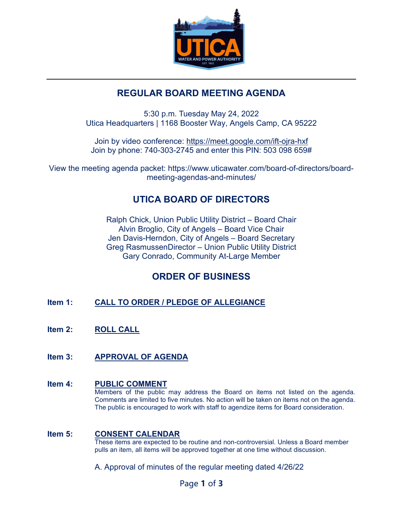

### **REGULAR BOARD MEETING AGENDA**

5:30 p.m. Tuesday May 24, 2022 Utica Headquarters | 1168 Booster Way, Angels Camp, CA 95222

Join by video conference:<https://meet.google.com/ift-ojra-hxf> Join by phone: 740-303-2745 and enter this PIN: 503 098 659#

View the meeting agenda packet: https://www.uticawater.com/board-of-directors/boardmeeting-agendas-and-minutes/

# **UTICA BOARD OF DIRECTORS**

Ralph Chick, Union Public Utility District – Board Chair Alvin Broglio, City of Angels – Board Vice Chair Jen Davis-Herndon, City of Angels – Board Secretary Greg RasmussenDirector – Union Public Utility District Gary Conrado, Community At-Large Member

# **ORDER OF BUSINESS**

- **Item 1: CALL TO ORDER / PLEDGE OF ALLEGIANCE**
- **Item 2: ROLL CALL**
- **Item 3: APPROVAL OF AGENDA**

### **Item 4: PUBLIC COMMENT**

Members of the public may address the Board on items not listed on the agenda. Comments are limited to five minutes. No action will be taken on items not on the agenda. The public is encouraged to work with staff to agendize items for Board consideration.

#### **Item 5: CONSENT CALENDAR**

These items are expected to be routine and non-controversial. Unless a Board member pulls an item, all items will be approved together at one time without discussion.

A. Approval of minutes of the regular meeting dated 4/26/22

Page **1** of **3**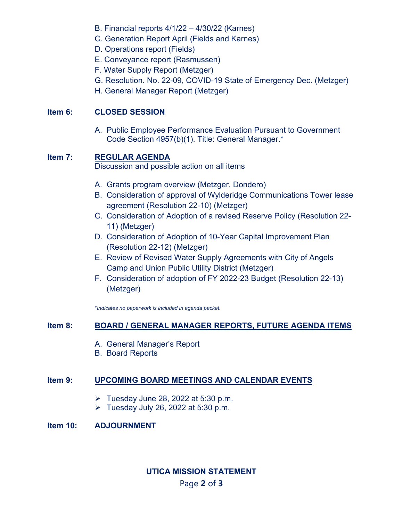- B. Financial reports 4/1/22 4/30/22 (Karnes)
- C. Generation Report April (Fields and Karnes)
- D. Operations report (Fields)
- E. Conveyance report (Rasmussen)
- F. Water Supply Report (Metzger)
- G. Resolution. No. 22-09, COVID-19 State of Emergency Dec. (Metzger)
- H. General Manager Report (Metzger)

#### **Item 6: CLOSED SESSION**

A. Public Employee Performance Evaluation Pursuant to Government Code Section 4957(b)(1). Title: General Manager.\*

### **Item 7: REGULAR AGENDA**

Discussion and possible action on all items

- A. Grants program overview (Metzger, Dondero)
- B. Consideration of approval of Wylderidge Communications Tower lease agreement (Resolution 22-10) (Metzger)
- C. Consideration of Adoption of a revised Reserve Policy (Resolution 22- 11) (Metzger)
- D. Consideration of Adoption of 10-Year Capital Improvement Plan (Resolution 22-12) (Metzger)
- E. Review of Revised Water Supply Agreements with City of Angels Camp and Union Public Utility District (Metzger)
- F. Consideration of adoption of FY 2022-23 Budget (Resolution 22-13) (Metzger)

\**Indicates no paperwork is included in agenda packet.* 

#### **Item 8: BOARD / GENERAL MANAGER REPORTS, FUTURE AGENDA ITEMS**

- A. General Manager's Report
- B. Board Reports

#### **Item 9: UPCOMING BOARD MEETINGS AND CALENDAR EVENTS**

- $\triangleright$  Tuesday June 28, 2022 at 5:30 p.m.
- $\triangleright$  Tuesday July 26, 2022 at 5:30 p.m.

#### **Item 10: ADJOURNMENT**

## Page **2** of **3 UTICA MISSION STATEMENT**